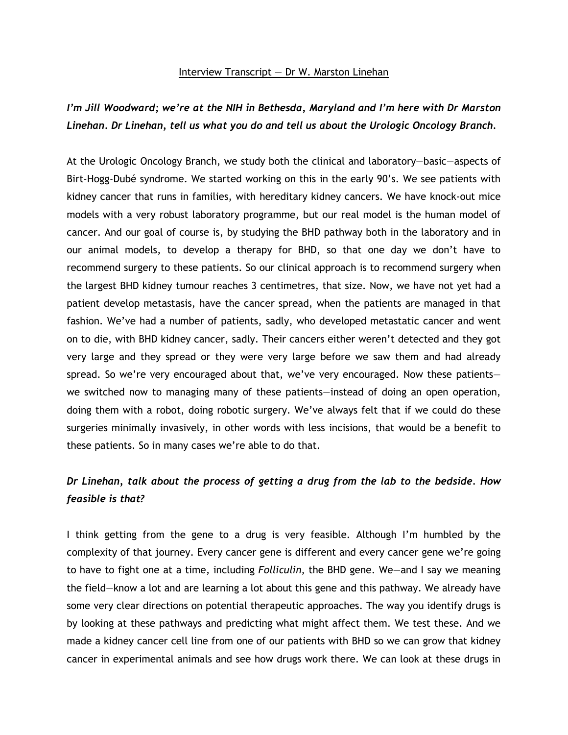### Interview Transcript — Dr W. Marston Linehan

# *I'm Jill Woodward; we're at the NIH in Bethesda, Maryland and I'm here with Dr Marston Linehan. Dr Linehan, tell us what you do and tell us about the Urologic Oncology Branch.*

At the Urologic Oncology Branch, we study both the clinical and laboratory—basic—aspects of Birt-Hogg-Dubé syndrome. We started working on this in the early 90's. We see patients with kidney cancer that runs in families, with hereditary kidney cancers. We have knock-out mice models with a very robust laboratory programme, but our real model is the human model of cancer. And our goal of course is, by studying the BHD pathway both in the laboratory and in our animal models, to develop a therapy for BHD, so that one day we don't have to recommend surgery to these patients. So our clinical approach is to recommend surgery when the largest BHD kidney tumour reaches 3 centimetres, that size. Now, we have not yet had a patient develop metastasis, have the cancer spread, when the patients are managed in that fashion. We've had a number of patients, sadly, who developed metastatic cancer and went on to die, with BHD kidney cancer, sadly. Their cancers either weren't detected and they got very large and they spread or they were very large before we saw them and had already spread. So we're very encouraged about that, we've very encouraged. Now these patients we switched now to managing many of these patients—instead of doing an open operation, doing them with a robot, doing robotic surgery. We've always felt that if we could do these surgeries minimally invasively, in other words with less incisions, that would be a benefit to these patients. So in many cases we're able to do that.

# *Dr Linehan, talk about the process of getting a drug from the lab to the bedside. How feasible is that?*

I think getting from the gene to a drug is very feasible. Although I'm humbled by the complexity of that journey. Every cancer gene is different and every cancer gene we're going to have to fight one at a time, including *Folliculin*, the BHD gene. We—and I say we meaning the field—know a lot and are learning a lot about this gene and this pathway. We already have some very clear directions on potential therapeutic approaches. The way you identify drugs is by looking at these pathways and predicting what might affect them. We test these. And we made a kidney cancer cell line from one of our patients with BHD so we can grow that kidney cancer in experimental animals and see how drugs work there. We can look at these drugs in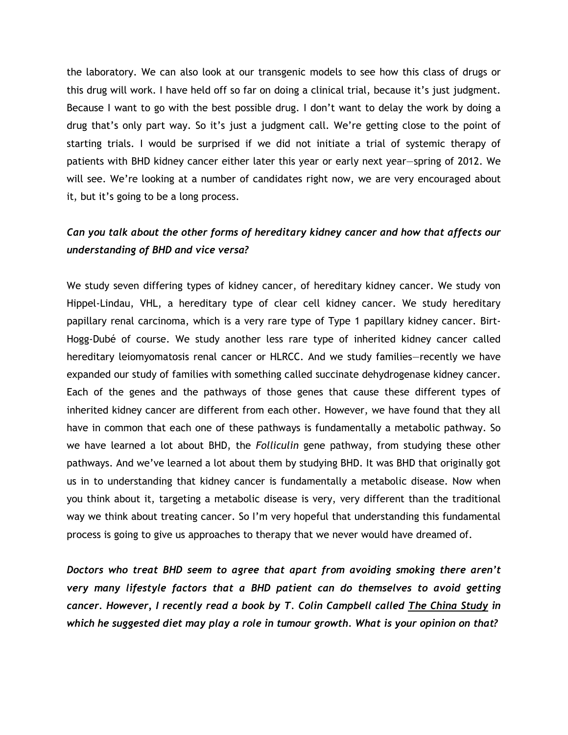the laboratory. We can also look at our transgenic models to see how this class of drugs or this drug will work. I have held off so far on doing a clinical trial, because it's just judgment. Because I want to go with the best possible drug. I don't want to delay the work by doing a drug that's only part way. So it's just a judgment call. We're getting close to the point of starting trials. I would be surprised if we did not initiate a trial of systemic therapy of patients with BHD kidney cancer either later this year or early next year—spring of 2012. We will see. We're looking at a number of candidates right now, we are very encouraged about it, but it's going to be a long process.

## *Can you talk about the other forms of hereditary kidney cancer and how that affects our understanding of BHD and vice versa?*

We study seven differing types of kidney cancer, of hereditary kidney cancer. We study von Hippel-Lindau, VHL, a hereditary type of clear cell kidney cancer. We study hereditary papillary renal carcinoma, which is a very rare type of Type 1 papillary kidney cancer. Birt-Hogg-Dubé of course. We study another less rare type of inherited kidney cancer called hereditary leiomyomatosis renal cancer or HLRCC. And we study families—recently we have expanded our study of families with something called succinate dehydrogenase kidney cancer. Each of the genes and the pathways of those genes that cause these different types of inherited kidney cancer are different from each other. However, we have found that they all have in common that each one of these pathways is fundamentally a metabolic pathway. So we have learned a lot about BHD, the *Folliculin* gene pathway, from studying these other pathways. And we've learned a lot about them by studying BHD. It was BHD that originally got us in to understanding that kidney cancer is fundamentally a metabolic disease. Now when you think about it, targeting a metabolic disease is very, very different than the traditional way we think about treating cancer. So I'm very hopeful that understanding this fundamental process is going to give us approaches to therapy that we never would have dreamed of.

*Doctors who treat BHD seem to agree that apart from avoiding smoking there aren't very many lifestyle factors that a BHD patient can do themselves to avoid getting cancer. However, I recently read a book by T. Colin Campbell called The China Study in which he suggested diet may play a role in tumour growth. What is your opinion on that?*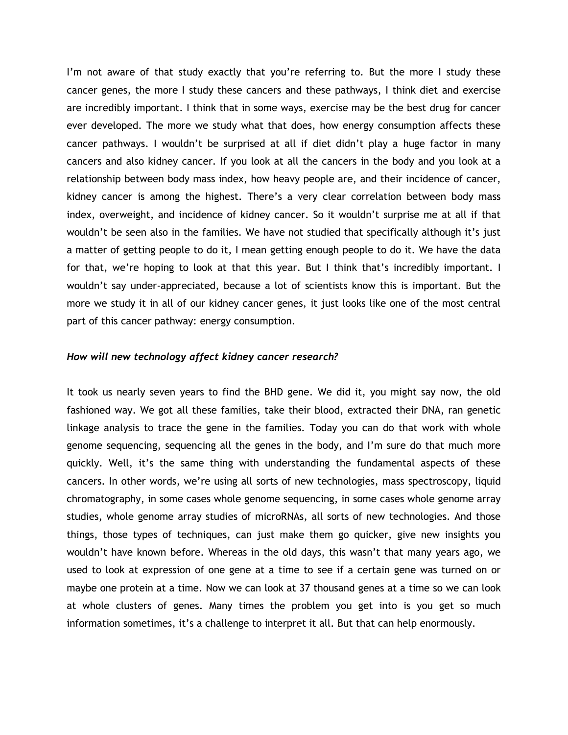I'm not aware of that study exactly that you're referring to. But the more I study these cancer genes, the more I study these cancers and these pathways, I think diet and exercise are incredibly important. I think that in some ways, exercise may be the best drug for cancer ever developed. The more we study what that does, how energy consumption affects these cancer pathways. I wouldn't be surprised at all if diet didn't play a huge factor in many cancers and also kidney cancer. If you look at all the cancers in the body and you look at a relationship between body mass index, how heavy people are, and their incidence of cancer, kidney cancer is among the highest. There's a very clear correlation between body mass index, overweight, and incidence of kidney cancer. So it wouldn't surprise me at all if that wouldn't be seen also in the families. We have not studied that specifically although it's just a matter of getting people to do it, I mean getting enough people to do it. We have the data for that, we're hoping to look at that this year. But I think that's incredibly important. I wouldn't say under-appreciated, because a lot of scientists know this is important. But the more we study it in all of our kidney cancer genes, it just looks like one of the most central part of this cancer pathway: energy consumption.

#### *How will new technology affect kidney cancer research?*

It took us nearly seven years to find the BHD gene. We did it, you might say now, the old fashioned way. We got all these families, take their blood, extracted their DNA, ran genetic linkage analysis to trace the gene in the families. Today you can do that work with whole genome sequencing, sequencing all the genes in the body, and I'm sure do that much more quickly. Well, it's the same thing with understanding the fundamental aspects of these cancers. In other words, we're using all sorts of new technologies, mass spectroscopy, liquid chromatography, in some cases whole genome sequencing, in some cases whole genome array studies, whole genome array studies of microRNAs, all sorts of new technologies. And those things, those types of techniques, can just make them go quicker, give new insights you wouldn't have known before. Whereas in the old days, this wasn't that many years ago, we used to look at expression of one gene at a time to see if a certain gene was turned on or maybe one protein at a time. Now we can look at 37 thousand genes at a time so we can look at whole clusters of genes. Many times the problem you get into is you get so much information sometimes, it's a challenge to interpret it all. But that can help enormously.